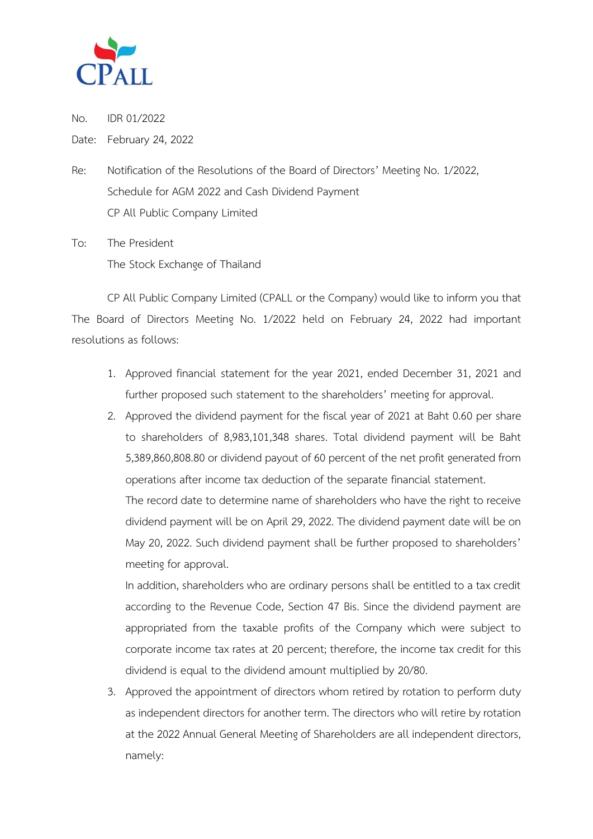

No. IDR 01/2022

Date: February 24, 2022

Re: Notification of the Resolutions of the Board of Directors' Meeting No. 1/2022, Schedule for AGM 2022 and Cash Dividend Payment CP All Public Company Limited

To: The President The Stock Exchange of Thailand

CP All Public Company Limited (CPALL or the Company) would like to inform you that The Board of Directors Meeting No. 1/2022 held on February 24, 2022 had important resolutions as follows:

- 1. Approved financial statement for the year 2021, ended December 31, 2021 and further proposed such statement to the shareholders' meeting for approval.
- 2. Approved the dividend payment for the fiscal year of 2021 at Baht 0.60 per share to shareholders of 8,983,101,348 shares. Total dividend payment will be Baht 5,389,860,808.80 or dividend payout of 60 percent of the net profit generated from operations after income tax deduction of the separate financial statement.

The record date to determine name of shareholders who have the right to receive dividend payment will be on April 29, 2022. The dividend payment date will be on May 20, 2022. Such dividend payment shall be further proposed to shareholders' meeting for approval.

In addition, shareholders who are ordinary persons shall be entitled to a tax credit according to the Revenue Code, Section 47 Bis. Since the dividend payment are appropriated from the taxable profits of the Company which were subject to corporate income tax rates at 20 percent; therefore, the income tax credit for this dividend is equal to the dividend amount multiplied by 20/80.

3. Approved the appointment of directors whom retired by rotation to perform duty as independent directors for another term. The directors who will retire by rotation at the 2022 Annual General Meeting of Shareholders are all independent directors, namely: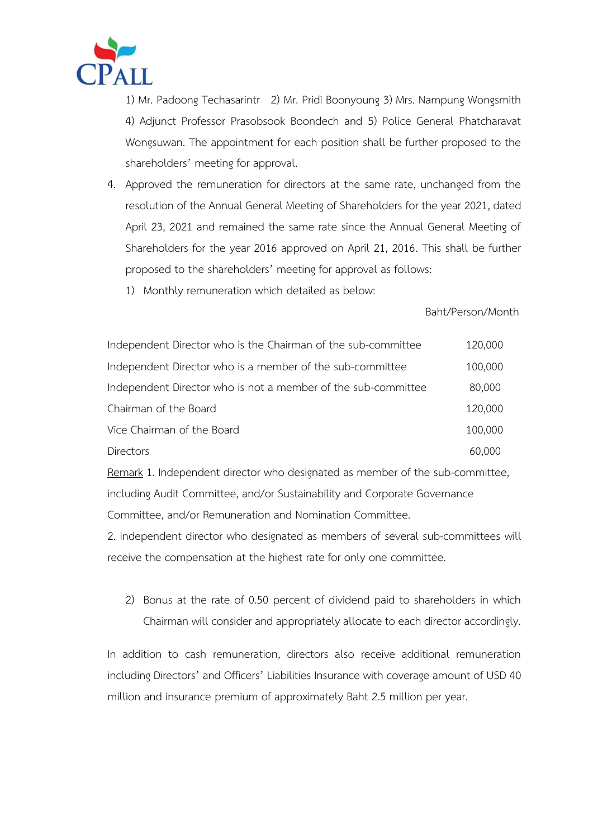

1) Mr. Padoong Techasarintr 2) Mr. Pridi Boonyoung 3) Mrs. Nampung Wongsmith 4) Adjunct Professor Prasobsook Boondech and 5) Police General Phatcharavat Wongsuwan. The appointment for each position shall be further proposed to the shareholders' meeting for approval.

- 4. Approved the remuneration for directors at the same rate, unchanged from the resolution of the Annual General Meeting of Shareholders for the year 2021, dated April 23, 2021 and remained the same rate since the Annual General Meeting of Shareholders for the year 2016 approved on April 21, 2016. This shall be further proposed to the shareholders' meeting for approval as follows:
	- 1) Monthly remuneration which detailed as below:

## Baht/Person/Month

| Independent Director who is the Chairman of the sub-committee | 120,000 |
|---------------------------------------------------------------|---------|
| Independent Director who is a member of the sub-committee     | 100,000 |
| Independent Director who is not a member of the sub-committee | 80,000  |
| Chairman of the Board                                         | 120,000 |
| Vice Chairman of the Board                                    | 100,000 |
| Directors                                                     | 60,000  |

Remark 1. Independent director who designated as member of the sub-committee, including Audit Committee, and/or Sustainability and Corporate Governance Committee, and/or Remuneration and Nomination Committee.

2. Independent director who designated as members of several sub-committees will receive the compensation at the highest rate for only one committee.

2) Bonus at the rate of 0.50 percent of dividend paid to shareholders in which Chairman will consider and appropriately allocate to each director accordingly.

In addition to cash remuneration, directors also receive additional remuneration including Directors' and Officers' Liabilities Insurance with coverage amount of USD 40 million and insurance premium of approximately Baht 2.5 million per year.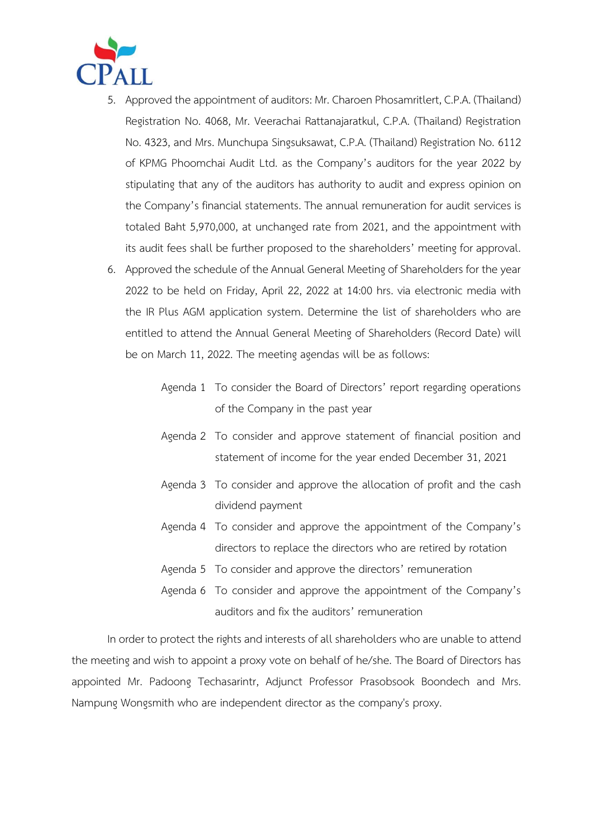

- 5. Approved the appointment of auditors: Mr. Charoen Phosamritlert, C.P.A. (Thailand) Registration No. 4068, Mr. Veerachai Rattanajaratkul, C.P.A. (Thailand) Registration No. 4323, and Mrs. Munchupa Singsuksawat, C.P.A. (Thailand) Registration No. 6112 of KPMG Phoomchai Audit Ltd. as the Company's auditors for the year 2022 by stipulating that any of the auditors has authority to audit and express opinion on the Company's financial statements. The annual remuneration for audit services is totaled Baht 5,970,000, at unchanged rate from 2021, and the appointment with its audit fees shall be further proposed to the shareholders' meeting for approval.
- 6. Approved the schedule of the Annual General Meeting of Shareholders for the year 2022 to be held on Friday, April 22, 2022 at 14:00 hrs. via electronic media with the IR Plus AGM application system. Determine the list of shareholders who are entitled to attend the Annual General Meeting of Shareholders (Record Date) will be on March 11, 2022. The meeting agendas will be as follows:
	- Agenda 1 To consider the Board of Directors' report regarding operations of the Company in the past year
	- Agenda 2 To consider and approve statement of financial position and statement of income for the year ended December 31, 2021
	- Agenda 3 To consider and approve the allocation of profit and the cash dividend payment
	- Agenda 4 To consider and approve the appointment of the Company's directors to replace the directors who are retired by rotation
	- Agenda 5 To consider and approve the directors' remuneration
	- Agenda 6 To consider and approve the appointment of the Company's auditors and fix the auditors' remuneration

In order to protect the rights and interests of all shareholders who are unable to attend the meeting and wish to appoint a proxy vote on behalf of he/she. The Board of Directors has appointed Mr. Padoong Techasarintr, Adjunct Professor Prasobsook Boondech and Mrs. Nampung Wongsmith who are independent director as the company's proxy.